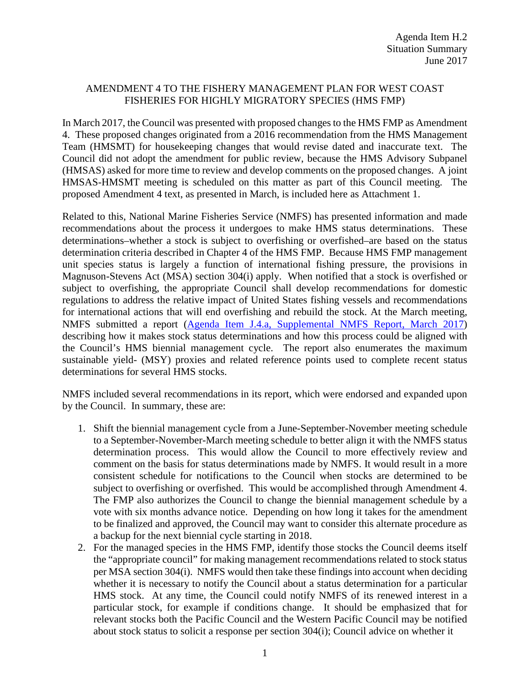## AMENDMENT 4 TO THE FISHERY MANAGEMENT PLAN FOR WEST COAST FISHERIES FOR HIGHLY MIGRATORY SPECIES (HMS FMP)

In March 2017, the Council was presented with proposed changes to the HMS FMP as Amendment 4. These proposed changes originated from a 2016 recommendation from the HMS Management Team (HMSMT) for housekeeping changes that would revise dated and inaccurate text. The Council did not adopt the amendment for public review, because the HMS Advisory Subpanel (HMSAS) asked for more time to review and develop comments on the proposed changes. A joint HMSAS-HMSMT meeting is scheduled on this matter as part of this Council meeting. The proposed Amendment 4 text, as presented in March, is included here as Attachment 1.

Related to this, National Marine Fisheries Service (NMFS) has presented information and made recommendations about the process it undergoes to make HMS status determinations. These determinations–whether a stock is subject to overfishing or overfished–are based on the status determination criteria described in Chapter 4 of the HMS FMP. Because HMS FMP management unit species status is largely a function of international fishing pressure, the provisions in Magnuson-Stevens Act (MSA) section 304(i) apply. When notified that a stock is overfished or subject to overfishing, the appropriate Council shall develop recommendations for domestic regulations to address the relative impact of United States fishing vessels and recommendations for international actions that will end overfishing and rebuild the stock. At the March meeting, NMFS submitted a report [\(Agenda Item J.4.a, Supplemental NMFS Report,](http://www.pcouncil.org/wp-content/uploads/2017/03/J4a_Sup_NMFS_Rpt_Mar2017BB.pdf) March 2017) describing how it makes stock status determinations and how this process could be aligned with the Council's HMS biennial management cycle. The report also enumerates the maximum sustainable yield- (MSY) proxies and related reference points used to complete recent status determinations for several HMS stocks.

NMFS included several recommendations in its report, which were endorsed and expanded upon by the Council. In summary, these are:

- 1. Shift the biennial management cycle from a June-September-November meeting schedule to a September-November-March meeting schedule to better align it with the NMFS status determination process. This would allow the Council to more effectively review and comment on the basis for status determinations made by NMFS. It would result in a more consistent schedule for notifications to the Council when stocks are determined to be subject to overfishing or overfished. This would be accomplished through Amendment 4. The FMP also authorizes the Council to change the biennial management schedule by a vote with six months advance notice. Depending on how long it takes for the amendment to be finalized and approved, the Council may want to consider this alternate procedure as a backup for the next biennial cycle starting in 2018.
- 2. For the managed species in the HMS FMP, identify those stocks the Council deems itself the "appropriate council" for making management recommendations related to stock status per MSA section 304(i). NMFS would then take these findings into account when deciding whether it is necessary to notify the Council about a status determination for a particular HMS stock. At any time, the Council could notify NMFS of its renewed interest in a particular stock, for example if conditions change. It should be emphasized that for relevant stocks both the Pacific Council and the Western Pacific Council may be notified about stock status to solicit a response per section 304(i); Council advice on whether it